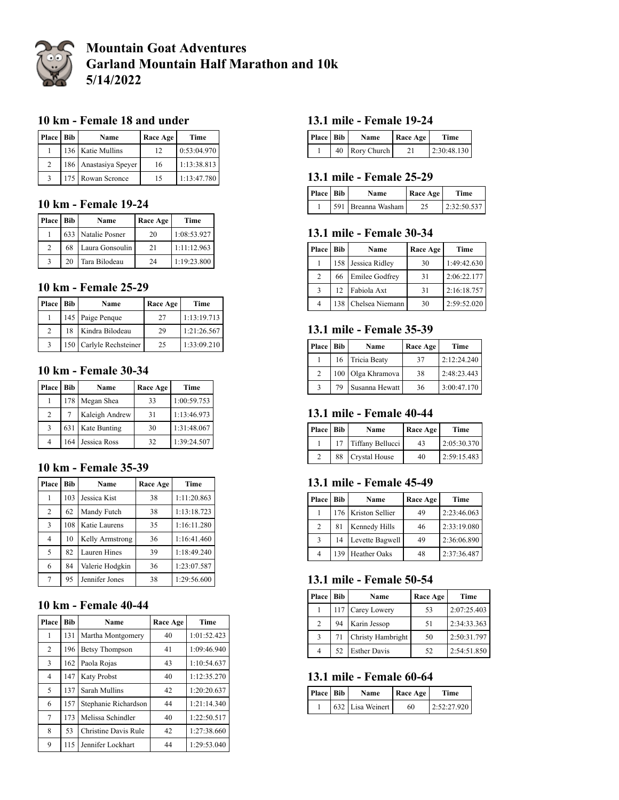

# **Mountain Goat Adventures Garland Mountain Half Marathon and 10k 5/14/2022**

### **10 km - Female 18 and under**

| Place Bib     | Name                  | Race Age | Time        |
|---------------|-----------------------|----------|-------------|
|               | 136 Katie Mullins     | 12       | 0:53:04.970 |
| $\mathcal{D}$ | 186 Anastasiya Speyer | 16       | 1:13:38.813 |
|               | 175 Rowan Scronce     | 15       | 1:13:47.780 |

## **10 km - Female 19-24**

| <b>Place</b>  | <b>Bib</b> | Name               | Race Age | <b>Time</b> |
|---------------|------------|--------------------|----------|-------------|
|               |            | 633 Natalie Posner | 20       | 1:08:53.927 |
| $\mathcal{D}$ | 68         | Laura Gonsoulin    | 21       | 1:11:12.963 |
|               | 20         | Tara Bilodeau      | 24       | 1:19:23.800 |

#### **10 km - Female 25-29**

| Place         | <b>Bib</b> | Name                    | Race Age | Time        |
|---------------|------------|-------------------------|----------|-------------|
|               |            | 145 Paige Penque        | 27       | 1:13:19.713 |
| $\mathcal{D}$ | 18         | Kindra Bilodeau         | 29       | 1:21:26.567 |
|               |            | 150 Carlyle Rechsteiner | 25       | 1:33:09.210 |

### **10 km - Female 30-34**

| <b>Place</b>   | Bib | Name             | Race Age | Time        |
|----------------|-----|------------------|----------|-------------|
|                | 178 | Megan Shea       | 33       | 1:00:59.753 |
| $\overline{c}$ |     | Kaleigh Andrew   | 31       | 1:13:46.973 |
| 3              |     | 631 Kate Bunting | 30       | 1:31:48.067 |
| 4              | 164 | Jessica Ross     | 32       | 1:39:24.507 |

#### **10 km - Female 35-39**

| Place          | <b>Bib</b> | Name            | Race Age | Time        |
|----------------|------------|-----------------|----------|-------------|
| 1              | 103        | Jessica Kist    | 38       | 1:11:20.863 |
| $\overline{c}$ | 62         | Mandy Futch     | 38       | 1:13:18.723 |
| 3              | 108        | Katie Laurens   | 35       | 1:16:11.280 |
| 4              | 10         | Kelly Armstrong | 36       | 1:16:41.460 |
| 5              | 82         | Lauren Hines    | 39       | 1:18:49.240 |
| 6              | 84         | Valerie Hodgkin | 36       | 1:23:07.587 |
| 7              | 95         | Jennifer Jones  | 38       | 1:29:56.600 |

## **10 km - Female 40-44**

| Place          | <b>Bib</b> | Name                  | Race Age | Time        |
|----------------|------------|-----------------------|----------|-------------|
| 1              | 131        | Martha Montgomery     | 40       | 1:01:52.423 |
| $\overline{2}$ | 196        | <b>Betsy Thompson</b> | 41       | 1:09:46.940 |
| 3              | 162        | Paola Rojas           | 43       | 1:10:54.637 |
| 4              | 147        | <b>Katy Probst</b>    | 40       | 1:12:35.270 |
| 5              | 137        | Sarah Mullins         | 42       | 1:20:20.637 |
| 6              | 157        | Stephanie Richardson  | 44       | 1:21:14.340 |
| 7              | 173        | Melissa Schindler     | 40       | 1:22:50.517 |
| 8              | 53         | Christine Davis Rule  | 42       | 1:27:38.660 |
| 9              | 115        | Jennifer Lockhart     | 44       | 1:29:53.040 |

#### **13.1 mile - Female 19-24**

| Place Bib | Name           | Race Age | <b>Time</b> |
|-----------|----------------|----------|-------------|
|           | 40 Rory Church | 21       | 2:30:48.130 |

#### **13.1 mile - Female 25-29**

| Place Bib | Name               | Race Age | <b>Time</b> |
|-----------|--------------------|----------|-------------|
|           | 591 Breanna Washam |          | 2:32:50.537 |

## **13.1 mile - Female 30-34**

| <b>Place</b> | Bib | Name               | Race Age | Time        |
|--------------|-----|--------------------|----------|-------------|
|              |     | 158 Jessica Ridley | 30       | 1:49:42.630 |
| 2            | 66  | Emilee Godfrey     | 31       | 2:06:22.177 |
| $\mathbf{a}$ | 12. | Fabiola Axt        | 31       | 2:16:18.757 |
|              | 138 | Chelsea Niemann    | 30       | 2:59:52.020 |

## **13.1 mile - Female 35-39**

| Place Bib |    | Name              | Race Age | Time        |
|-----------|----|-------------------|----------|-------------|
|           |    | 16 Tricia Beaty   | 37       | 2:12:24.240 |
| 2         |    | 100 Olga Khramova | 38       | 2:48:23.443 |
|           | 79 | Susanna Hewatt    | 36       | 3:00:47.170 |

#### **13.1 mile - Female 40-44**

| Place Bib |    | Name             | <b>Race Age</b> | Time        |
|-----------|----|------------------|-----------------|-------------|
|           |    | Tiffany Bellucci | 43              | 2:05:30.370 |
|           | 88 | Crystal House    | 40              | 2:59:15.483 |

### **13.1 mile - Female 45-49**

| Place | Bib | Name                | Race Age | Time        |
|-------|-----|---------------------|----------|-------------|
|       |     | 176 Kriston Sellier | 49       | 2:23:46.063 |
| 2     | 81  | Kennedy Hills       | 46       | 2:33:19.080 |
| 3     | 14  | Levette Bagwell     | 49       | 2:36:06.890 |
| 4     | 139 | <b>Heather Oaks</b> | 48       | 2:37:36.487 |

#### **13.1 mile - Female 50-54**

| Place         | Bib | Name                | Race Age | Time        |
|---------------|-----|---------------------|----------|-------------|
|               |     | 117 Carey Lowery    | 53       | 2:07:25.403 |
| 2             | 94  | Karin Jessop        | 51       | 2:34:33.363 |
| $\mathcal{R}$ | 71  | Christy Hambright   | 50       | 2:50:31.797 |
| 4             | 52  | <b>Esther Davis</b> | 52       | 2:54:51.850 |

## **13.1 mile - Female 60-64**

| Place Bib | Name             | Race Age | Time        |
|-----------|------------------|----------|-------------|
|           | 632 Lisa Weinert | 60       | 2:52:27.920 |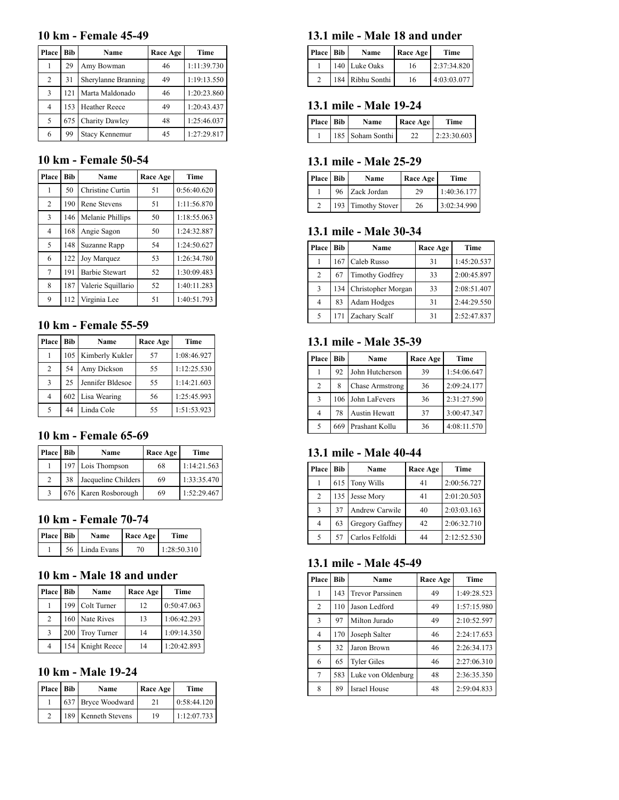#### **10 km - Female 45-49**

| Place          | Bib | Name                | Race Age | Time        |
|----------------|-----|---------------------|----------|-------------|
|                | 29  | Amy Bowman          | 46       | 1:11:39.730 |
| $\overline{2}$ | 31  | Sherylanne Branning | 49       | 1:19:13.550 |
| 3              | 121 | Marta Maldonado     | 46       | 1:20:23.860 |
| 4              | 153 | Heather Reece       | 49       | 1:20:43.437 |
| 5              | 675 | Charity Dawley      | 48       | 1:25:46.037 |
| 6              | 99  | Stacy Kennemur      | 45       | 1:27:29.817 |

### **10 km - Female 50-54**

| Place          | <b>Bib</b> | Name                  | Race Age | Time        |
|----------------|------------|-----------------------|----------|-------------|
| 1              | 50         | Christine Curtin      | 51       | 0:56:40.620 |
| $\overline{c}$ | 190        | Rene Stevens          | 51       | 1:11:56.870 |
| 3              | 146        | Melanie Phillips      | 50       | 1:18:55.063 |
| 4              | 168        | Angie Sagon           | 50       | 1:24:32.887 |
| 5              | 148        | Suzanne Rapp          | 54       | 1:24:50.627 |
| 6              | 122        | Joy Marquez           | 53       | 1:26:34.780 |
| $\overline{7}$ | 191        | <b>Barbie Stewart</b> | 52       | 1:30:09.483 |
| 8              | 187        | Valerie Squillario    | 52       | 1:40:11.283 |
| 9              | 112        | Virginia Lee          | 51       | 1:40:51.793 |

# **10 km - Female 55-59**

| <b>Place</b> | Bib | Name             | Race Age | Time        |
|--------------|-----|------------------|----------|-------------|
|              | 105 | Kimberly Kukler  | 57       | 1:08:46.927 |
| 2            | 54  | Amy Dickson      | 55       | 1:12:25.530 |
| 3            | 25  | Jennifer Bldesoe | 55       | 1:14:21.603 |
| 4            |     | 602 Lisa Wearing | 56       | 1:25:45.993 |
| 5            | 44  | Linda Cole       | 55       | 1:51:53.923 |

# **10 km - Female 65-69**

| Place          | <b>Bib</b> | Name                 | Race Age | Time        |
|----------------|------------|----------------------|----------|-------------|
|                |            | 197 Lois Thompson    | 68       | 1:14:21.563 |
| $\mathfrak{D}$ | 38         | Jacqueline Childers  | 69       | 1:33:35.470 |
| 3              |            | 676 Karen Rosborough | 69       | 1:52:29.467 |

# **10 km - Female 70-74**

| Place Bib | <b>Name</b>    | Race Age | Time        |
|-----------|----------------|----------|-------------|
|           | 56 Linda Evans | 70       | 1:28:50.310 |

## **10 km - Male 18 and under**

| <b>Place</b> | Bib | Name             | Race Age | Time        |
|--------------|-----|------------------|----------|-------------|
|              |     | 199 Colt Turner  | 12       | 0:50:47.063 |
| 2            |     | 160 Nate Rives   | 13       | 1:06:42.293 |
| $\mathbf{3}$ |     | 200 Troy Turner  | 14       | 1:09:14.350 |
| 4            |     | 154 Knight Reece | 14       | 1:20:42.893 |

## **10 km - Male 19-24**

| Place Bib | Name                | Race Age | Time        |
|-----------|---------------------|----------|-------------|
|           | 637 Bryce Woodward  | 21       | 0:58:44.120 |
|           | 189 Kenneth Stevens | 19       | 1:12:07.733 |

#### **13.1 mile - Male 18 and under**

| Place Bib | Name             | <b>Race Age</b> | <b>Time</b> |
|-----------|------------------|-----------------|-------------|
|           | 140 Luke Oaks    | 16              | 2:37:34.820 |
|           | 184 Ribhu Sonthi | 16              | 4:03:03.077 |

#### **13.1 mile - Male 19-24**

| Place Bib | Name             | <b>Race Age</b> | Time        |
|-----------|------------------|-----------------|-------------|
|           | 185 Soham Sonthi |                 | 2:23:30.603 |

#### **13.1 mile - Male 25-29**

| Place Bib | Name               | Race Age | Time        |
|-----------|--------------------|----------|-------------|
|           | 96 Zack Jordan     | 29       | 1:40:36.177 |
|           | 193 Timothy Stover | 26       | 3:02:34.990 |

### **13.1 mile - Male 30-34**

| Place | Bib | Name                   | Race Age | Time        |
|-------|-----|------------------------|----------|-------------|
|       | 167 | Caleb Russo            | 31       | 1:45:20.537 |
| 2     | 67  | <b>Timothy Godfrey</b> | 33       | 2:00:45.897 |
| 3     | 134 | Christopher Morgan     | 33       | 2:08:51.407 |
| 4     | 83  | Adam Hodges            | 31       | 2:44:29.550 |
| 5     | 171 | Zachary Scalf          | 31       | 2:52:47.837 |

### **13.1 mile - Male 35-39**

| Place          | Bib | Name                   | Race Age | Time        |
|----------------|-----|------------------------|----------|-------------|
|                | 92  | John Hutcherson        | 39       | 1:54:06.647 |
| $\overline{c}$ | 8   | <b>Chase Armstrong</b> | 36       | 2:09:24.177 |
| 3              | 106 | John LaFevers          | 36       | 2:31:27.590 |
| 4              | 78  | Austin Hewatt          | 37       | 3:00:47.347 |
| 5              | 669 | Prashant Kollu         | 36       | 4:08:11.570 |

# **13.1 mile - Male 40-44**

| Place | <b>Bib</b> | Name            | Race Age | Time        |
|-------|------------|-----------------|----------|-------------|
|       |            | 615 Tony Wills  | 41       | 2:00:56.727 |
| 2     | 135        | Jesse Mory      | 41       | 2:01:20.503 |
| 3     | 37         | Andrew Carwile  | 40       | 2:03:03.163 |
| 4     | 63         | Gregory Gaffney | 42       | 2:06:32.710 |
| 5     | 57         | Carlos Felfoldi | 44       | 2:12:52.530 |

## **13.1 mile - Male 45-49**

| Place          | <b>Bib</b> | Name                    | Race Age | <b>Time</b> |
|----------------|------------|-------------------------|----------|-------------|
| 1              | 143        | <b>Trevor Parssinen</b> | 49       | 1:49:28.523 |
| 2              | 110        | Jason Ledford           | 49       | 1:57:15.980 |
| 3              | 97         | Milton Jurado           | 49       | 2:10:52.597 |
| $\overline{4}$ | 170        | Joseph Salter           | 46       | 2:24:17.653 |
| 5              | 32         | Jaron Brown             | 46       | 2:26:34.173 |
| 6              | 65         | <b>Tyler Giles</b>      | 46       | 2:27:06.310 |
| 7              | 583        | Luke von Oldenburg      | 48       | 2:36:35.350 |
| 8              | 89         | <b>Israel House</b>     | 48       | 2:59:04.833 |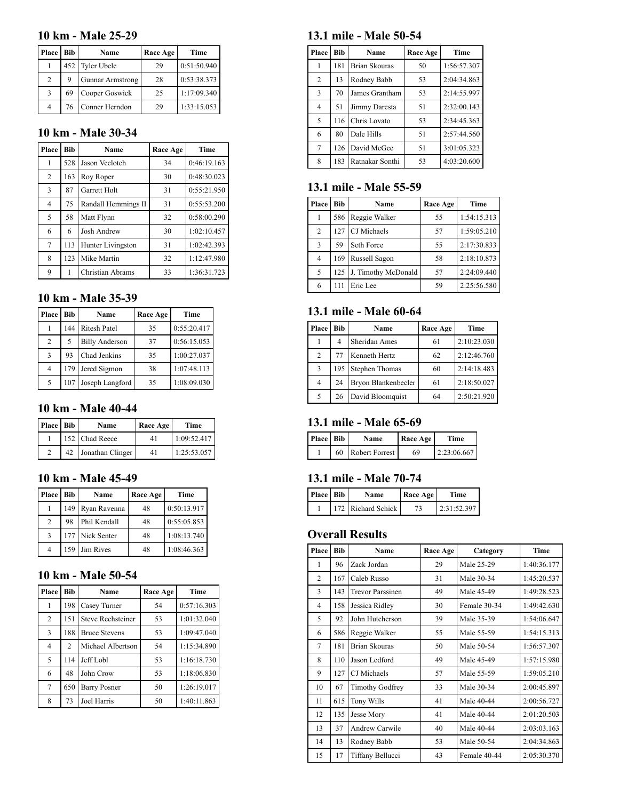#### **10 km - Male 25-29**

| Place          | Bib | Name                    | Race Age | Time        |
|----------------|-----|-------------------------|----------|-------------|
|                |     | 452 Tyler Ubele         | 29       | 0:51:50.940 |
| $\mathfrak{D}$ | 9   | <b>Gunnar Armstrong</b> | 28       | 0:53:38.373 |
| 3              | 69  | Cooper Goswick          | 25       | 1:17:09.340 |
| 4              | 76  | Conner Herndon          | 29       | 1:33:15.053 |

# **10 km - Male 30-34**

| Place          | Bib | Name                | Race Age | <b>Time</b> |
|----------------|-----|---------------------|----------|-------------|
| 1              | 528 | Jason Veclotch      | 34       | 0:46:19.163 |
| $\overline{2}$ | 163 | Roy Roper           | 30       | 0:48:30.023 |
| 3              | 87  | Garrett Holt        | 31       | 0:55:21.950 |
| $\overline{4}$ | 75  | Randall Hemmings II | 31       | 0:55:53.200 |
| 5              | 58  | Matt Flynn          | 32       | 0:58:00.290 |
| 6              | 6   | Josh Andrew         | 30       | 1:02:10.457 |
| 7              | 113 | Hunter Livingston   | 31       | 1:02:42.393 |
| 8              | 123 | Mike Martin         | 32       | 1:12:47.980 |
| 9              | 1   | Christian Abrams    | 33       | 1:36:31.723 |

#### **10 km - Male 35-39**

| <b>Place</b>   | Bib. | Name                  | Race Age | Time        |
|----------------|------|-----------------------|----------|-------------|
|                | 144  | <b>Ritesh Patel</b>   | 35       | 0:55:20.417 |
| $\overline{2}$ | 5    | <b>Billy Anderson</b> | 37       | 0:56:15.053 |
| 3              | 93   | Chad Jenkins          | 35       | 1:00:27.037 |
| 4              | 179  | Jered Sigmon          | 38       | 1:07:48.113 |
| 5              | 107  | Joseph Langford       | 35       | 1:08:09.030 |

## **10 km - Male 40-44**

| Place Bib |    | Name             | Race Age | Time        |
|-----------|----|------------------|----------|-------------|
|           |    | 152 Chad Reece   | 41       | 1:09:52.417 |
|           | 42 | Jonathan Clinger | 41       | 1:25:53.057 |

## **10 km - Male 45-49**

| <b>Place</b>   | Bib | Name            | Race Age | Time        |
|----------------|-----|-----------------|----------|-------------|
|                | 149 | Ryan Ravenna    | 48       | 0:50:13.917 |
| $\mathfrak{D}$ | 98  | Phil Kendall    | 48       | 0:55:05.853 |
| 3              |     | 177 Nick Senter | 48       | 1:08:13.740 |
| 4              |     | 159 Jim Rives   | 48       | 1:08:46.363 |

## **10 km - Male 50-54**

| Place          | <b>Bib</b>     | Name                 | Race Age | Time        |
|----------------|----------------|----------------------|----------|-------------|
| 1              | 198            | Casey Turner         | 54       | 0:57:16.303 |
| $\overline{2}$ | 151            | Steve Rechsteiner    | 53       | 1:01:32.040 |
| 3              | 188            | <b>Bruce Stevens</b> | 53       | 1:09:47.040 |
| 4              | $\mathfrak{D}$ | Michael Albertson    | 54       | 1:15:34.890 |
| 5              | 114            | Jeff Lobl            | 53       | 1:16:18.730 |
| 6              | 48             | John Crow            | 53       | 1:18:06.830 |
| 7              | 650            | <b>Barry Posner</b>  | 50       | 1:26:19.017 |
| 8              | 73             | Joel Harris          | 50       | 1:40:11.863 |

#### **13.1 mile - Male 50-54**

| Place          | Bib | Name            | Race Age | <b>Time</b> |
|----------------|-----|-----------------|----------|-------------|
| 1              | 181 | Brian Skouras   | 50       | 1:56:57.307 |
| $\overline{c}$ | 13  | Rodney Babb     | 53       | 2:04:34.863 |
| $\overline{3}$ | 70  | James Grantham  | 53       | 2:14:55.997 |
| 4              | 51  | Jimmy Daresta   | 51       | 2:32:00.143 |
| 5              | 116 | Chris Lovato    | 53       | 2:34:45.363 |
| 6              | 80  | Dale Hills      | 51       | 2:57:44.560 |
| 7              | 126 | David McGee     | 51       | 3:01:05.323 |
| 8              | 183 | Ratnakar Sonthi | 53       | 4:03:20.600 |

#### **13.1 mile - Male 55-59**

| Place          | Bib | Name                | Race Age | Time        |
|----------------|-----|---------------------|----------|-------------|
| 1              | 586 | Reggie Walker       | 55       | 1:54:15.313 |
| $\overline{c}$ | 127 | CJ Michaels         | 57       | 1:59:05.210 |
| 3              | 59  | Seth Force          | 55       | 2:17:30.833 |
| $\overline{4}$ | 169 | Russell Sagon       | 58       | 2:18:10.873 |
| 5              | 125 | J. Timothy McDonald | 57       | 2:24:09.440 |
| 6              | 111 | Eric Lee            | 59       | 2:25:56.580 |

# **13.1 mile - Male 60-64**

| Place | Bib | Name                | Race Age | Time        |
|-------|-----|---------------------|----------|-------------|
|       | 4   | Sheridan Ames       | 61       | 2:10:23.030 |
| 2     | 77  | Kenneth Hertz       | 62       | 2:12:46.760 |
| 3     | 195 | Stephen Thomas      | 60       | 2:14:18.483 |
| 4     | 24  | Bryon Blankenbecler | 61       | 2:18:50.027 |
| 5     | 26  | David Bloomquist    | 64       | 2:50:21.920 |

## **13.1 mile - Male 65-69**

| Place Bib |    | Name                  | Race Age | <b>Time</b> |
|-----------|----|-----------------------|----------|-------------|
|           | 60 | <b>Robert Forrest</b> | 69       | 2:23:06.667 |

## **13.1 mile - Male 70-74**

| Place Bib | Name               | Race Age | <b>Time</b> |
|-----------|--------------------|----------|-------------|
|           | 172 Richard Schick |          | 2:31:52.397 |

## **Overall Results**

| Place          | <b>Bib</b> | Name                    | Race Age | Category     | Time        |
|----------------|------------|-------------------------|----------|--------------|-------------|
| 1              | 96         | Zack Jordan             | 29       | Male 25-29   | 1:40:36.177 |
| $\overline{2}$ | 167        | Caleb Russo             | 31       | Male 30-34   | 1:45:20.537 |
| 3              | 143        | <b>Trevor Parssinen</b> | 49       | Male 45-49   | 1:49:28.523 |
| 4              | 158        | Jessica Ridley          | 30       | Female 30-34 | 1:49:42.630 |
| 5              | 92         | John Hutcherson         | 39       | Male 35-39   | 1:54:06.647 |
| 6              | 586        | Reggie Walker           | 55       | Male 55-59   | 1:54:15.313 |
| 7              | 181        | <b>Brian Skouras</b>    | 50       | Male 50-54   | 1:56:57.307 |
| 8              | 110        | Jason Ledford           | 49       | Male 45-49   | 1:57:15.980 |
| 9              | 127        | CJ Michaels             | 57       | Male 55-59   | 1:59:05.210 |
| 10             | 67         | <b>Timothy Godfrey</b>  | 33       | Male 30-34   | 2:00:45.897 |
| 11             | 615        | <b>Tony Wills</b>       | 41       | Male 40-44   | 2:00:56.727 |
| 12             | 135        | Jesse Mory              | 41       | Male 40-44   | 2:01:20.503 |
| 13             | 37         | Andrew Carwile          | 40       | Male 40-44   | 2:03:03.163 |
| 14             | 13         | Rodney Babb             | 53       | Male 50-54   | 2:04:34.863 |
| 15             | 17         | Tiffany Bellucci        | 43       | Female 40-44 | 2:05:30.370 |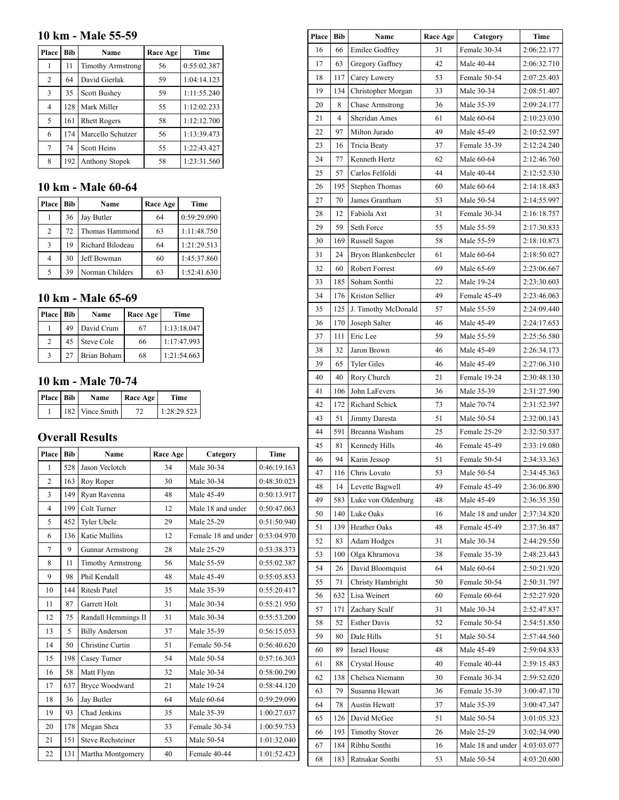# **10 km - Male 55-59**

| Place          | <b>Bib</b> | Name                     | Race Age | Time        |
|----------------|------------|--------------------------|----------|-------------|
| 1              | 11         | <b>Timothy Armstrong</b> | 56       | 0:55:02.387 |
| $\overline{2}$ | 64         | David Gierlak            | 59       | 1:04:14.123 |
| 3              | 35         | Scott Bushey             | 59       | 1:11:55.240 |
| $\overline{4}$ | 128        | Mark Miller              | 55       | 1:12:02.233 |
| 5              | 161        | <b>Rhett Rogers</b>      | 58       | 1:12:12.700 |
| 6              | 174        | Marcello Schutzer        | 56       | 1:13:39.473 |
| 7              | 74         | Scott Heins              | 55       | 1:22:43.427 |
| 8              | 192        | Anthony Stopek           | 58       | 1:23:31.560 |

# **10 km - Male 60-64**

| Place          | Bib | Name             | Race Age | Time        |
|----------------|-----|------------------|----------|-------------|
| 1              | 36  | Jay Butler       | 64       | 0:59:29.090 |
| $\mathfrak{D}$ | 72  | Thomas Hammond   | 63       | 1:11:48.750 |
| 3              | 19  | Richard Bilodeau | 64       | 1:21:29.513 |
| 4              | 30  | Jeff Bowman      | 60       | 1:45:37.860 |
| 5              | 39  | Norman Childers  | 63       | 1:52:41.630 |

# **10 km - Male 65-69**

| Place Bib               |    | Name          | Race Age | Time        |
|-------------------------|----|---------------|----------|-------------|
|                         | 49 | David Crum    | 67       | 1:13:18.047 |
| $\mathcal{D}$           |    | 45 Steve Cole | 66       | 1:17:47.993 |
| $\mathbf{\overline{3}}$ | 27 | Brian Boham   | 68       | 1:21:54.663 |

# **10 km - Male 70-74**

| Place Bib | Name            | Race Age | Time        |  |
|-----------|-----------------|----------|-------------|--|
|           | 182 Vince Smith |          | 1:28:29.523 |  |

# **Overall Results**

| Place          | Bib | Name                     | Race Age | Category            | <b>Time</b> |
|----------------|-----|--------------------------|----------|---------------------|-------------|
| 1              | 528 | Jason Veclotch           | 34       | Male 30-34          | 0:46:19.163 |
| $\overline{2}$ | 163 | Roy Roper                | 30       | Male 30-34          | 0:48:30.023 |
| 3              | 149 | Ryan Ravenna             | 48       | Male 45-49          | 0:50:13.917 |
| $\overline{4}$ | 199 | Colt Turner              | 12       | Male 18 and under   | 0:50:47.063 |
| 5              | 452 | Tyler Ubele              | 29       | Male 25-29          | 0:51:50.940 |
| 6              | 136 | Katie Mullins            | 12       | Female 18 and under | 0:53:04.970 |
| 7              | 9   | <b>Gunnar Armstrong</b>  | 28       | Male 25-29          | 0:53:38.373 |
| 8              | 11  | <b>Timothy Armstrong</b> | 56       | Male 55-59          | 0:55:02.387 |
| 9              | 98  | Phil Kendall             | 48       | Male 45-49          | 0:55:05.853 |
| 10             | 144 | <b>Ritesh Patel</b>      | 35       | Male 35-39          | 0:55:20.417 |
| 11             | 87  | Garrett Holt             | 31       | Male 30-34          | 0:55:21.950 |
| 12             | 75  | Randall Hemmings II      | 31       | Male 30-34          | 0:55:53.200 |
| 13             | 5   | <b>Billy Anderson</b>    | 37       | Male 35-39          | 0:56:15.053 |
| 14             | 50  | Christine Curtin         | 51       | Female 50-54        | 0:56:40.620 |
| 15             | 198 | Casey Turner             | 54       | Male 50-54          | 0:57:16.303 |
| 16             | 58  | Matt Flynn               | 32       | Male 30-34          | 0:58:00.290 |
| 17             | 637 | <b>Bryce Woodward</b>    | 21       | Male 19-24          | 0:58:44.120 |
| 18             | 36  | Jay Butler               | 64       | Male 60-64          | 0:59:29.090 |
| 19             | 93  | Chad Jenkins             | 35       | Male 35-39          | 1:00:27.037 |
| 20             | 178 | Megan Shea               | 33       | Female 30-34        | 1:00:59.753 |
| 21             | 151 | <b>Steve Rechsteiner</b> | 53       | Male 50-54          | 1:01:32.040 |
| 22             | 131 | Martha Montgomery        | 40       | Female 40-44        | 1:01:52.423 |

| Place Bib |                | Name                   | Race Age | Category          | Time        |
|-----------|----------------|------------------------|----------|-------------------|-------------|
| 16        | 66             | <b>Emilee Godfrey</b>  | 31       | Female 30-34      | 2:06:22.177 |
| 17        | 63             | Gregory Gaffney        | 42       | Male 40-44        | 2:06:32.710 |
| 18        | 117            | Carey Lowery           | 53       | Female 50-54      | 2:07:25.403 |
| 19        | 134            | Christopher Morgan     | 33       | Male 30-34        | 2:08:51.407 |
| 20        | 8              | <b>Chase Armstrong</b> | 36       | Male 35-39        | 2:09:24.177 |
| 21        | $\overline{4}$ | Sheridan Ames          | 61       | Male 60-64        | 2:10:23.030 |
| 22        | 97             | Milton Jurado          | 49       | Male 45-49        | 2:10:52.597 |
| 23        | 16             | Tricia Beaty           | 37       | Female 35-39      | 2:12:24.240 |
| 24        | 77             | Kenneth Hertz          | 62       | Male 60-64        | 2:12:46.760 |
| 25        | 57             | Carlos Felfoldi        | 44       | Male 40-44        | 2:12:52.530 |
| 26        | 195            | Stephen Thomas         | 60       | Male 60-64        | 2:14:18.483 |
| 27        | 70             | James Grantham         | 53       | Male 50-54        | 2:14:55.997 |
| 28        | 12             | Fabiola Axt            | 31       | Female 30-34      | 2:16:18.757 |
| 29        | 59             | Seth Force             | 55       | Male 55-59        | 2:17:30.833 |
| 30        | 169            | Russell Sagon          | 58       | Male 55-59        | 2:18:10.873 |
| 31        | 24             | Bryon Blankenbecler    | 61       | Male 60-64        | 2:18:50.027 |
| 32        | 60             | Robert Forrest         | 69       | Male 65-69        | 2:23:06.667 |
| 33        | 185            | Soham Sonthi           | 22       | Male 19-24        | 2:23:30.603 |
| 34        | 176            | Kriston Sellier        | 49       | Female 45-49      | 2:23:46.063 |
| 35        | 125            | J. Timothy McDonald    | 57       | Male 55-59        | 2:24:09.440 |
| 36        | 170            | Joseph Salter          | 46       | Male 45-49        | 2:24:17.653 |
| 37        | 111            | Eric Lee               | 59       | Male 55-59        | 2:25:56.580 |
| 38        | 32             | Jaron Brown            | 46       | Male 45-49        | 2:26:34.173 |
| 39        | 65             | <b>Tyler Giles</b>     | 46       | Male 45-49        | 2:27:06.310 |
| 40        | 40             | Rory Church            | 21       | Female 19-24      | 2:30:48.130 |
| 41        | 106            | John LaFevers          | 36       | Male 35-39        | 2:31:27.590 |
| 42        | 172            | Richard Schick         | 73       | Male 70-74        | 2:31:52.397 |
| 43        | 51             | Jimmy Daresta          | 51       | Male 50-54        | 2:32:00.143 |
| 44        | 591            | Breanna Washam         | 25       | Female 25-29      | 2:32:50.537 |
| 45        | 81             | Kennedy Hills          | 46       | Female 45-49      | 2:33:19.080 |
| 46        | 94             | Karin Jessop           | 51       | Female 50-54      | 2:34:33.363 |
| 47        | 116            | Chris Lovato           | 53       | Male 50-54        | 2:34:45.363 |
| 48        | 14             | Levette Bagwell        | 49       | Female 45-49      | 2:36:06.890 |
| 49        | 583            | Luke von Oldenburg     | 48       | Male 45-49        | 2:36:35.350 |
| 50        | 140            | Luke Oaks              | 16       | Male 18 and under | 2:37:34.820 |
| 51        | 139            | Heather Oaks           | 48       | Female 45-49      | 2:37:36.487 |
| 52        | 83             | Adam Hodges            | 31       | Male 30-34        | 2:44:29.550 |
| 53        | 100            | Olga Khramova          | 38       | Female 35-39      | 2:48:23.443 |
| 54        | 26             | David Bloomquist       | 64       | Male 60-64        | 2:50:21.920 |
| 55        | 71             | Christy Hambright      | 50       | Female 50-54      | 2:50:31.797 |
| 56        | 632            | Lisa Weinert           | 60       | Female 60-64      | 2:52:27.920 |
| 57        | 171            | Zachary Scalf          | 31       | Male 30-34        | 2:52:47.837 |
| 58        | 52             | <b>Esther Davis</b>    | 52       | Female 50-54      | 2:54:51.850 |
| 59        | 80             | Dale Hills             | 51       | Male 50-54        | 2:57:44.560 |
| 60        | 89             | Israel House           | 48       | Male 45-49        | 2:59:04.833 |
| 61        | 88             | Crystal House          | 40       | Female 40-44      | 2:59:15.483 |
| 62        | 138            | Chelsea Niemann        | 30       | Female 30-34      | 2:59:52.020 |
| 63        | 79             | Susanna Hewatt         | 36       | Female 35-39      | 3:00:47.170 |
| 64        | 78             | Austin Hewatt          | 37       | Male 35-39        | 3:00:47.347 |
| 65        | 126            | David McGee            | 51       | Male 50-54        | 3:01:05.323 |
| 66        | 193            | <b>Timothy Stover</b>  | 26       | Male 25-29        | 3:02:34.990 |
| 67        | 184            | Ribhu Sonthi           | 16       | Male 18 and under | 4:03:03.077 |
| 68        | 183            | Ratnakar Sonthi        | 53       | Male 50-54        | 4:03:20.600 |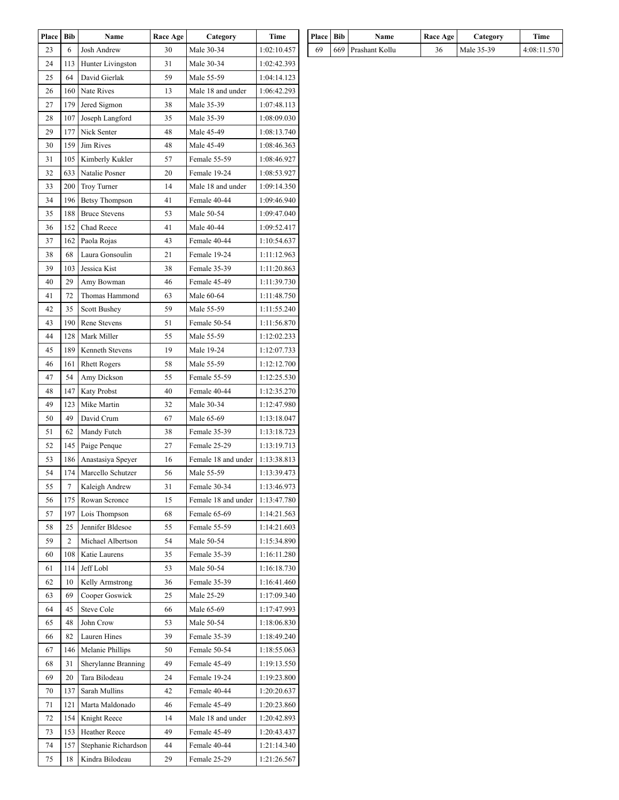| Place | <b>Bib</b> | Name                  | Race Age | Category            | Time        |
|-------|------------|-----------------------|----------|---------------------|-------------|
| 23    | 6          | Josh Andrew           | 30       | Male 30-34          | 1:02:10.457 |
| 24    | 113        | Hunter Livingston     | 31       | Male 30-34          | 1:02:42.393 |
| 25    | 64         | David Gierlak         | 59       | Male 55-59          | 1:04:14.123 |
| 26    | 160        | Nate Rives            | 13       | Male 18 and under   | 1:06:42.293 |
| 27    | 179        | Jered Sigmon          | 38       | Male 35-39          | 1:07:48.113 |
| 28    | 107        | Joseph Langford       | 35       | Male 35-39          | 1:08:09.030 |
| 29    | 177        | Nick Senter           | 48       | Male 45-49          | 1:08:13.740 |
| 30    | 159        | Jim Rives             | 48       | Male 45-49          | 1:08:46.363 |
| 31    | 105        | Kimberly Kukler       | 57       | Female 55-59        | 1:08:46.927 |
| 32    | 633        | Natalie Posner        | 20       | Female 19-24        | 1:08:53.927 |
| 33    | 200        | Troy Turner           | 14       | Male 18 and under   | 1:09:14.350 |
| 34    | 196        | <b>Betsy Thompson</b> | 41       | Female 40-44        | 1:09:46.940 |
| 35    | 188        | <b>Bruce Stevens</b>  | 53       | Male 50-54          | 1:09:47.040 |
| 36    | 152        | Chad Reece            | 41       | Male 40-44          | 1:09:52.417 |
| 37    | 162        | Paola Rojas           | 43       | Female 40-44        | 1:10:54.637 |
| 38    | 68         | Laura Gonsoulin       | 21       | Female 19-24        | 1:11:12.963 |
| 39    | 103        | Jessica Kist          | 38       | Female 35-39        | 1:11:20.863 |
| 40    | 29         | Amy Bowman            | 46       | Female 45-49        | 1:11:39.730 |
| 41    | 72         | Thomas Hammond        | 63       | Male 60-64          | 1:11:48.750 |
| 42    | 35         | Scott Bushey          | 59       | Male 55-59          | 1:11:55.240 |
| 43    | 190        | Rene Stevens          | 51       | Female 50-54        | 1:11:56.870 |
| 44    | 128        | Mark Miller           | 55       | Male 55-59          | 1:12:02.233 |
| 45    | 189        | Kenneth Stevens       | 19       | Male 19-24          | 1:12:07.733 |
| 46    | 161        | <b>Rhett Rogers</b>   | 58       | Male 55-59          | 1:12:12.700 |
| 47    | 54         | Amy Dickson           | 55       | Female 55-59        | 1:12:25.530 |
| 48    | 147        | <b>Katy Probst</b>    | 40       | Female 40-44        | 1:12:35.270 |
| 49    | 123        | Mike Martin           | 32       | Male 30-34          | 1:12:47.980 |
| 50    | 49         | David Crum            | 67       | Male 65-69          | 1:13:18.047 |
| 51    | 62         | Mandy Futch           | 38       | Female 35-39        | 1:13:18.723 |
| 52    | 145        | Paige Penque          | 27       | Female 25-29        | 1:13:19.713 |
| 53    | 186        | Anastasiya Speyer     | 16       | Female 18 and under | 1:13:38.813 |
| 54    | 174        | Marcello Schutzer     | 56       | Male 55-59          | 1:13:39.473 |
| 55    | 7          | Kaleigh Andrew        | 31       | Female 30-34        | 1:13:46.973 |
| 56    | 175        | Rowan Scronce         | 15       | Female 18 and under | 1:13:47.780 |
| 57    | 197        | Lois Thompson         | 68       | Female 65-69        | 1:14:21.563 |
| 58    | 25         | Jennifer Bldesoe      | 55       | Female 55-59        | 1:14:21.603 |
| 59    | 2          | Michael Albertson     | 54       | Male 50-54          | 1:15:34.890 |
| 60    | 108        | Katie Laurens         | 35       | Female 35-39        | 1:16:11.280 |
| 61    | 114        | Jeff Lobl             | 53       | Male 50-54          | 1:16:18.730 |
| 62    | 10         | Kelly Armstrong       | 36       | Female 35-39        | 1:16:41.460 |
| 63    | 69         | Cooper Goswick        | 25       | Male 25-29          | 1:17:09.340 |
| 64    | 45         | Steve Cole            | 66       | Male 65-69          | 1:17:47.993 |
| 65    | 48         | John Crow             | 53       | Male 50-54          | 1:18:06.830 |
| 66    | 82         | Lauren Hines          | 39       | Female 35-39        | 1:18:49.240 |
| 67    | 146        | Melanie Phillips      | 50       | Female 50-54        | 1:18:55.063 |
| 68    | 31         | Sherylanne Branning   | 49       | Female 45-49        | 1:19:13.550 |
| 69    | 20         | Tara Bilodeau         | 24       | Female 19-24        | 1:19:23.800 |
| 70    | 137        | Sarah Mullins         | 42       | Female 40-44        | 1:20:20.637 |
| 71    | 121        | Marta Maldonado       | 46       | Female 45-49        | 1:20:23.860 |
| 72    | 154        | Knight Reece          | 14       | Male 18 and under   | 1:20:42.893 |
| 73    | 153        | Heather Reece         | 49       | Female 45-49        | 1:20:43.437 |
| 74    | 157        | Stephanie Richardson  | 44       | Female 40-44        | 1:21:14.340 |
| 75    | 18         | Kindra Bilodeau       | 29       | Female 25-29        | 1:21:26.567 |
|       |            |                       |          |                     |             |

| Place Bib | <b>Name</b>        | Race Age | Category   | Time        |
|-----------|--------------------|----------|------------|-------------|
| 69        | 669 Prashant Kollu | 36       | Male 35-39 | 4:08:11.570 |